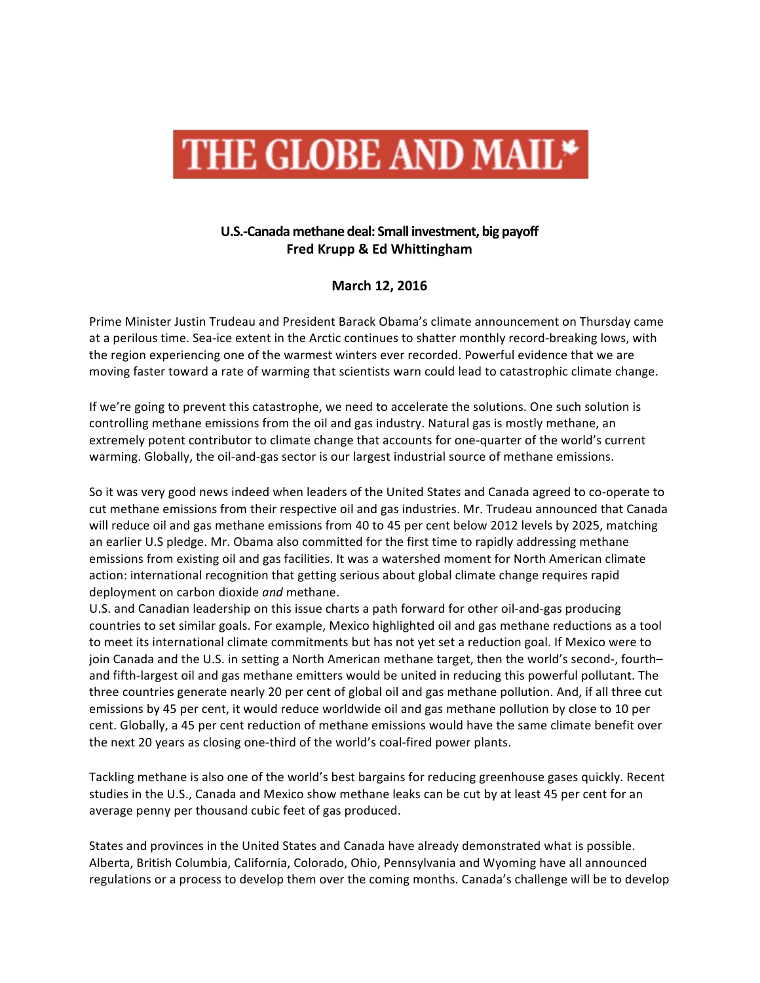

## U.S.-Canada methane deal: Small investment, big payoff **Fred Krupp & Ed Whittingham**

**March 12, 2016**

Prime Minister Justin Trudeau and President Barack Obama's climate announcement on Thursday came at a perilous time. Sea-ice extent in the Arctic continues to shatter monthly record-breaking lows, with the region experiencing one of the warmest winters ever recorded. Powerful evidence that we are moving faster toward a rate of warming that scientists warn could lead to catastrophic climate change.

If we're going to prevent this catastrophe, we need to accelerate the solutions. One such solution is controlling methane emissions from the oil and gas industry. Natural gas is mostly methane, an extremely potent contributor to climate change that accounts for one-quarter of the world's current warming. Globally, the oil-and-gas sector is our largest industrial source of methane emissions.

So it was very good news indeed when leaders of the United States and Canada agreed to co-operate to cut methane emissions from their respective oil and gas industries. Mr. Trudeau announced that Canada will reduce oil and gas methane emissions from 40 to 45 per cent below 2012 levels by 2025, matching an earlier U.S pledge. Mr. Obama also committed for the first time to rapidly addressing methane emissions from existing oil and gas facilities. It was a watershed moment for North American climate action: international recognition that getting serious about global climate change requires rapid deployment on carbon dioxide *and* methane.

U.S. and Canadian leadership on this issue charts a path forward for other oil-and-gas producing countries to set similar goals. For example, Mexico highlighted oil and gas methane reductions as a tool to meet its international climate commitments but has not yet set a reduction goal. If Mexico were to join Canada and the U.S. in setting a North American methane target, then the world's second-, fourth– and fifth-largest oil and gas methane emitters would be united in reducing this powerful pollutant. The three countries generate nearly 20 per cent of global oil and gas methane pollution. And, if all three cut emissions by 45 per cent, it would reduce worldwide oil and gas methane pollution by close to 10 per cent. Globally, a 45 per cent reduction of methane emissions would have the same climate benefit over the next 20 years as closing one-third of the world's coal-fired power plants.

Tackling methane is also one of the world's best bargains for reducing greenhouse gases quickly. Recent studies in the U.S., Canada and Mexico show methane leaks can be cut by at least 45 per cent for an average penny per thousand cubic feet of gas produced.

States and provinces in the United States and Canada have already demonstrated what is possible. Alberta, British Columbia, California, Colorado, Ohio, Pennsylvania and Wyoming have all announced regulations or a process to develop them over the coming months. Canada's challenge will be to develop